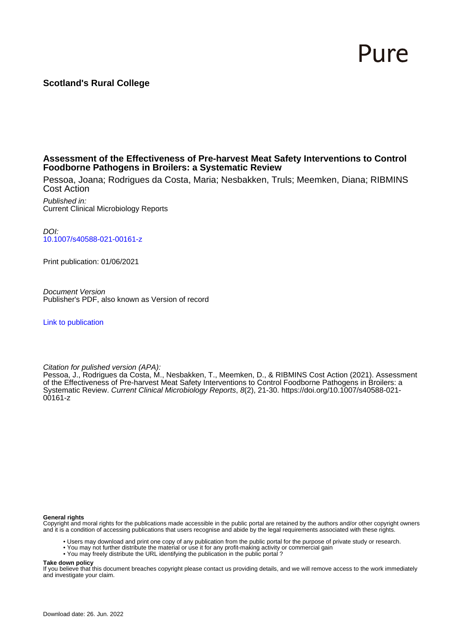# Pure

# **Scotland's Rural College**

# **Assessment of the Effectiveness of Pre-harvest Meat Safety Interventions to Control Foodborne Pathogens in Broilers: a Systematic Review**

Pessoa, Joana; Rodrigues da Costa, Maria; Nesbakken, Truls; Meemken, Diana; RIBMINS Cost Action

Published in: Current Clinical Microbiology Reports

DOI: [10.1007/s40588-021-00161-z](https://doi.org/10.1007/s40588-021-00161-z)

Print publication: 01/06/2021

Document Version Publisher's PDF, also known as Version of record

[Link to publication](https://pure.sruc.ac.uk/en/publications/d075f5da-b104-4a69-97a1-b9c2247b54d3)

Citation for pulished version (APA):

Pessoa, J., Rodrigues da Costa, M., Nesbakken, T., Meemken, D., & RIBMINS Cost Action (2021). Assessment of the Effectiveness of Pre-harvest Meat Safety Interventions to Control Foodborne Pathogens in Broilers: a Systematic Review. Current Clinical Microbiology Reports, 8(2), 21-30. [https://doi.org/10.1007/s40588-021-](https://doi.org/10.1007/s40588-021-00161-z) [00161-z](https://doi.org/10.1007/s40588-021-00161-z)

**General rights**

Copyright and moral rights for the publications made accessible in the public portal are retained by the authors and/or other copyright owners and it is a condition of accessing publications that users recognise and abide by the legal requirements associated with these rights.

- Users may download and print one copy of any publication from the public portal for the purpose of private study or research.
- You may not further distribute the material or use it for any profit-making activity or commercial gain
- You may freely distribute the URL identifying the publication in the public portal ?

**Take down policy**

If you believe that this document breaches copyright please contact us providing details, and we will remove access to the work immediately and investigate your claim.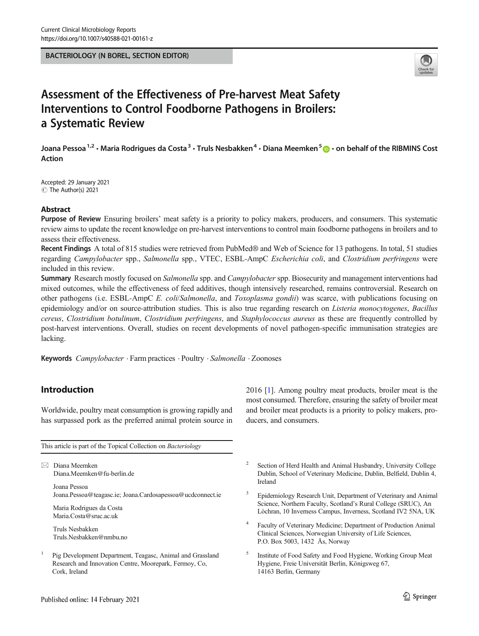BACTERIOLOGY (N BOREL, SECTION EDITOR)



# Assessment of the Effectiveness of Pre-harvest Meat Safety Interventions to Control Foodborne Pathogens in Broilers: a Systematic Review

Joana Pessoa<sup>1,2</sup> • Maria Rodrigues da Costa<sup>3</sup> • Truls Nesbakken<sup>4</sup> • Diana Meemken<sup>5</sup>  $\bullet$  • on behalf of the RIBMINS Cost Action

Accepted: 29 January 2021  $\circledcirc$  The Author(s) 2021

#### Abstract

Purpose of Review Ensuring broilers' meat safety is a priority to policy makers, producers, and consumers. This systematic review aims to update the recent knowledge on pre-harvest interventions to control main foodborne pathogens in broilers and to assess their effectiveness.

Recent Findings A total of 815 studies were retrieved from PubMed® and Web of Science for 13 pathogens. In total, 51 studies regarding Campylobacter spp., Salmonella spp., VTEC, ESBL-AmpC Escherichia coli, and Clostridium perfringens were included in this review.

Summary Research mostly focused on Salmonella spp. and Campylobacter spp. Biosecurity and management interventions had mixed outcomes, while the effectiveness of feed additives, though intensively researched, remains controversial. Research on other pathogens (i.e. ESBL-AmpC E. coli/Salmonella, and Toxoplasma gondii) was scarce, with publications focusing on epidemiology and/or on source-attribution studies. This is also true regarding research on *Listeria monocytogenes*, *Bacillus* cereus, Clostridium botulinum, Clostridium perfringens, and Staphylococcus aureus as these are frequently controlled by post-harvest interventions. Overall, studies on recent developments of novel pathogen-specific immunisation strategies are lacking.

Keywords Campylobacter · Farm practices · Poultry · Salmonella · Zoonoses

# Introduction

Worldwide, poultry meat consumption is growing rapidly and has surpassed pork as the preferred animal protein source in

This article is part of the Topical Collection on Bacteriology

 $\boxtimes$  Diana Meemken [Diana.Meemken@fu-berlin.de](mailto:Diana.Meemken@fu-berlin.de)

> Joana Pessoa Joana.Pessoa@teagasc.ie; Joana.Cardosapessoa@ucdconnect.ie

Maria Rodrigues da Costa Maria.Costa@sruc.ac.uk

Truls Nesbakken Truls.Nesbakken@nmbu.no

<sup>1</sup> Pig Development Department, Teagasc, Animal and Grassland Research and Innovation Centre, Moorepark, Fermoy, Co, Cork, Ireland

2016 [\[1](#page-7-0)]. Among poultry meat products, broiler meat is the most consumed. Therefore, ensuring the safety of broiler meat and broiler meat products is a priority to policy makers, producers, and consumers.

- <sup>2</sup> Section of Herd Health and Animal Husbandry, University College Dublin, School of Veterinary Medicine, Dublin, Belfield, Dublin 4, Ireland
- <sup>3</sup> Epidemiology Research Unit, Department of Veterinary and Animal Science, Northern Faculty, Scotland's Rural College (SRUC), An Lòchran, 10 Inverness Campus, Inverness, Scotland IV2 5NA, UK
- <sup>4</sup> Faculty of Veterinary Medicine; Department of Production Animal Clinical Sciences, Norwegian University of Life Sciences, P.O. Box 5003, 1432 Ås, Norway
- <sup>5</sup> Institute of Food Safety and Food Hygiene, Working Group Meat Hygiene, Freie Universität Berlin, Königsweg 67, 14163 Berlin, Germany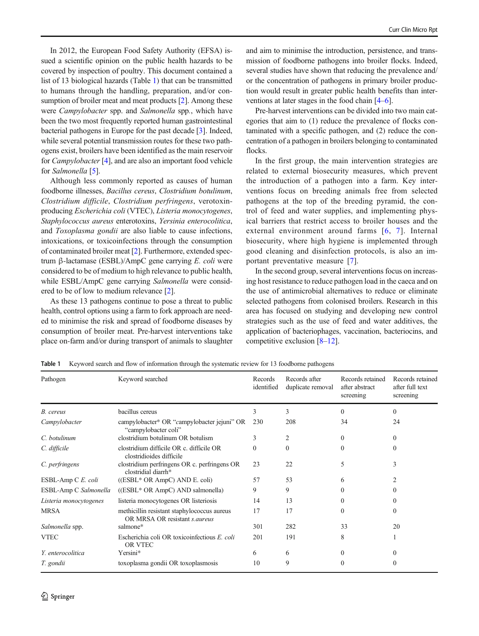<span id="page-2-0"></span>In 2012, the European Food Safety Authority (EFSA) issued a scientific opinion on the public health hazards to be covered by inspection of poultry. This document contained a list of 13 biological hazards (Table 1) that can be transmitted to humans through the handling, preparation, and/or con-sumption of broiler meat and meat products [[2\]](#page-8-0). Among these were Campylobacter spp. and Salmonella spp., which have been the two most frequently reported human gastrointestinal bacterial pathogens in Europe for the past decade [\[3](#page-8-0)]. Indeed, while several potential transmission routes for these two pathogens exist, broilers have been identified as the main reservoir for *Campylobacter* [[4](#page-8-0)], and are also an important food vehicle for Salmonella [\[5](#page-8-0)].

Although less commonly reported as causes of human foodborne illnesses, Bacillus cereus, Clostridium botulinum, Clostridium difficile, Clostridium perfringens, verotoxinproducing Escherichia coli (VTEC), Listeria monocytogenes, Staphylococcus aureus enterotoxins, Yersinia enterocolitica, and Toxoplasma gondii are also liable to cause infections, intoxications, or toxicoinfections through the consumption of contaminated broiler meat [[2](#page-8-0)]. Furthermore, extended spectrum β-lactamase (ESBL)/AmpC gene carrying E. coli were considered to be of medium to high relevance to public health, while ESBL/AmpC gene carrying Salmonella were considered to be of low to medium relevance [[2\]](#page-8-0).

As these 13 pathogens continue to pose a threat to public health, control options using a farm to fork approach are needed to minimise the risk and spread of foodborne diseases by consumption of broiler meat. Pre-harvest interventions take place on-farm and/or during transport of animals to slaughter

and aim to minimise the introduction, persistence, and transmission of foodborne pathogens into broiler flocks. Indeed, several studies have shown that reducing the prevalence and/ or the concentration of pathogens in primary broiler production would result in greater public health benefits than interventions at later stages in the food chain [[4](#page-8-0)–[6](#page-8-0)].

Pre-harvest interventions can be divided into two main categories that aim to (1) reduce the prevalence of flocks contaminated with a specific pathogen, and (2) reduce the concentration of a pathogen in broilers belonging to contaminated flocks.

In the first group, the main intervention strategies are related to external biosecurity measures, which prevent the introduction of a pathogen into a farm. Key interventions focus on breeding animals free from selected pathogens at the top of the breeding pyramid, the control of feed and water supplies, and implementing physical barriers that restrict access to broiler houses and the external environment around farms [[6,](#page-8-0) [7](#page-8-0)]. Internal biosecurity, where high hygiene is implemented through good cleaning and disinfection protocols, is also an important preventative measure [\[7](#page-8-0)].

In the second group, several interventions focus on increasing host resistance to reduce pathogen load in the caeca and on the use of antimicrobial alternatives to reduce or eliminate selected pathogens from colonised broilers. Research in this area has focused on studying and developing new control strategies such as the use of feed and water additives, the application of bacteriophages, vaccination, bacteriocins, and competitive exclusion [\[8](#page-8-0)–[12\]](#page-8-0).

| Pathogen               | Keyword searched                                                             | Records<br>identified | Records after<br>duplicate removal | Records retained<br>after abstract<br>screening | Records retained<br>after full text<br>screening |
|------------------------|------------------------------------------------------------------------------|-----------------------|------------------------------------|-------------------------------------------------|--------------------------------------------------|
| B. cereus              | bacillus cereus                                                              | 3                     | 3                                  | $\Omega$                                        | $\Omega$                                         |
| Campylobacter          | campylobacter* OR "campylobacter jejuni" OR<br>"campylobacter coli"          | 230                   | 208                                | 34                                              | 24                                               |
| C. botulinum           | clostridium botulinum OR botulism                                            | 3                     | 2                                  | $\Omega$                                        | $\Omega$                                         |
| C. difficile           | clostridium difficile OR c. difficile OR<br>clostridioides difficile         | $\Omega$              | $\Omega$                           | $\Omega$                                        | $\Omega$                                         |
| C. perfringens         | clostridium perfringens OR c. perfringens OR<br>clostridial diarrh*          | 23                    | 22                                 | 5                                               | 3                                                |
| ESBL-Amp C E. coli     | $(ESBL* OR AmpC) AND E. coli)$                                               | 57                    | 53                                 | 6                                               | 2                                                |
| ESBL-Amp C Salmonella  | ((ESBL* OR AmpC) AND salmonella)                                             | 9                     | 9                                  | $\Omega$                                        | $\Omega$                                         |
| Listeria monocytogenes | listeria monocytogenes OR listeriosis                                        | 14                    | 13                                 | $\Omega$                                        | $\Omega$                                         |
| <b>MRSA</b>            | methicillin resistant staphylococcus aureus<br>OR MRSA OR resistant s.aureus | 17                    | 17                                 | $\Omega$                                        | $\Omega$                                         |
| Salmonella spp.        | salmone*                                                                     | 301                   | 282                                | 33                                              | 20                                               |
| <b>VTEC</b>            | Escherichia coli OR toxicoinfectious E. coli<br>OR VTEC                      | 201                   | 191                                | 8                                               |                                                  |
| Y. enterocolitica      | Yersini*                                                                     | 6                     | 6                                  | $\Omega$                                        | $\Omega$                                         |
| T. gondii              | toxoplasma gondii OR toxoplasmosis                                           | 10                    | 9                                  | 0                                               | 0                                                |

Table 1 Keyword search and flow of information through the systematic review for 13 foodborne pathogens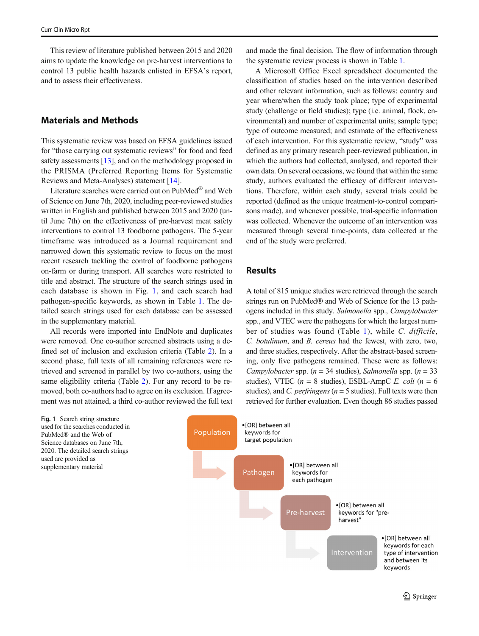This review of literature published between 2015 and 2020 aims to update the knowledge on pre-harvest interventions to control 13 public health hazards enlisted in EFSA's report, and to assess their effectiveness.

#### Materials and Methods

This systematic review was based on EFSA guidelines issued for "those carrying out systematic reviews" for food and feed safety assessments [[13\]](#page-8-0), and on the methodology proposed in the PRISMA (Preferred Reporting Items for Systematic Reviews and Meta-Analyses) statement [[14\]](#page-8-0).

Literature searches were carried out on PubMed® and Web of Science on June 7th, 2020, including peer-reviewed studies written in English and published between 2015 and 2020 (until June 7th) on the effectiveness of pre-harvest meat safety interventions to control 13 foodborne pathogens. The 5-year timeframe was introduced as a Journal requirement and narrowed down this systematic review to focus on the most recent research tackling the control of foodborne pathogens on-farm or during transport. All searches were restricted to title and abstract. The structure of the search strings used in each database is shown in Fig. 1, and each search had pathogen-specific keywords, as shown in Table [1.](#page-2-0) The detailed search strings used for each database can be assessed in the supplementary material.

All records were imported into EndNote and duplicates were removed. One co-author screened abstracts using a defined set of inclusion and exclusion criteria (Table [2\)](#page-4-0). In a second phase, full texts of all remaining references were retrieved and screened in parallel by two co-authors, using the same eligibility criteria (Table [2](#page-4-0)). For any record to be removed, both co-authors had to agree on its exclusion. If agreement was not attained, a third co-author reviewed the full text

Fig. 1 Search string structure used for the searches conducted in PubMed® and the Web of Science databases on June 7th, 2020. The detailed search strings used are provided as supplementary material

and made the final decision. The flow of information through the systematic review process is shown in Table [1](#page-2-0).

A Microsoft Office Excel spreadsheet documented the classification of studies based on the intervention described and other relevant information, such as follows: country and year where/when the study took place; type of experimental study (challenge or field studies); type (i.e. animal, flock, environmental) and number of experimental units; sample type; type of outcome measured; and estimate of the effectiveness of each intervention. For this systematic review, "study" was defined as any primary research peer-reviewed publication, in which the authors had collected, analysed, and reported their own data. On several occasions, we found that within the same study, authors evaluated the efficacy of different interventions. Therefore, within each study, several trials could be reported (defined as the unique treatment-to-control comparisons made), and whenever possible, trial-specific information was collected. Whenever the outcome of an intervention was measured through several time-points, data collected at the end of the study were preferred.

#### Results

A total of 815 unique studies were retrieved through the search strings run on PubMed® and Web of Science for the 13 pathogens included in this study. Salmonella spp., Campylobacter spp., and VTEC were the pathogens for which the largest number of studies was found (Table [1\)](#page-2-0), while C. difficile, C. botulinum, and B. cereus had the fewest, with zero, two, and three studies, respectively. After the abstract-based screening, only five pathogens remained. These were as follows: Campylobacter spp. ( $n = 34$  studies), Salmonella spp. ( $n = 33$ studies), VTEC ( $n = 8$  studies), ESBL-AmpC E. coli ( $n = 6$ ) studies), and C. perfringens ( $n = 5$  studies). Full texts were then retrieved for further evaluation. Even though 86 studies passed

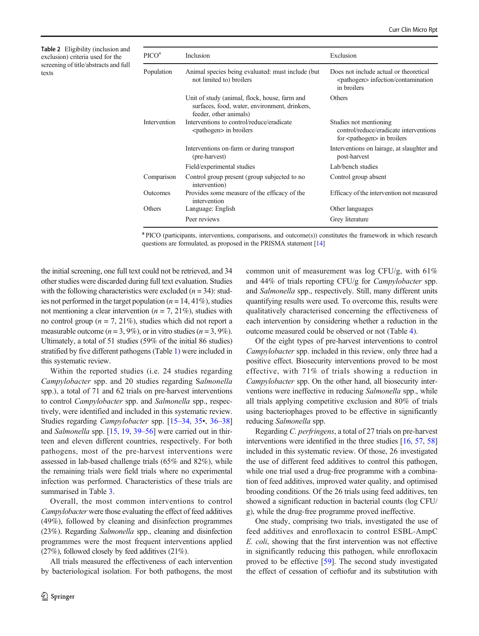<span id="page-4-0"></span>Table 2 Eligibility (inclusion and exclusion) criteria used for the screening of title/abstracts and full texts

| $\rm{PICO}^a$ | Inclusion                                                                                                                | Exclusion                                                                                                 |
|---------------|--------------------------------------------------------------------------------------------------------------------------|-----------------------------------------------------------------------------------------------------------|
| Population    | Animal species being evaluated: must include (but)<br>not limited to) broilers                                           | Does not include actual or theoretical<br><pathogen> infection/contamination<br/>in broilers</pathogen>   |
|               | Unit of study (animal, flock, house, farm and<br>surfaces, food, water, environment, drinkers,<br>feeder, other animals) | Others                                                                                                    |
| Intervention  | Interventions to control/reduce/eradicate<br><pathogen> in broilers</pathogen>                                           | Studies not mentioning<br>control/reduce/eradicate interventions<br>for <pathogen> in broilers</pathogen> |
|               | Interventions on-farm or during transport<br>(pre-harvest)                                                               | Interventions on lairage, at slaughter and<br>post-harvest                                                |
|               | Field/experimental studies                                                                                               | Lab/bench studies                                                                                         |
| Comparison    | Control group present (group subjected to no<br>intervention)                                                            | Control group absent                                                                                      |
| Outcomes      | Provides some measure of the efficacy of the<br>intervention                                                             | Efficacy of the intervention not measured                                                                 |
| Others        | Language: English                                                                                                        | Other languages                                                                                           |
|               | Peer reviews                                                                                                             | Grey literature                                                                                           |

<sup>a</sup> PICO (participants, interventions, comparisons, and outcome(s)) constitutes the framework in which research questions are formulated, as proposed in the PRISMA statement [\[14](#page-8-0)]

the initial screening, one full text could not be retrieved, and 34 other studies were discarded during full text evaluation. Studies with the following characteristics were excluded  $(n = 34)$ : studies not performed in the target population ( $n = 14, 41\%$ ), studies not mentioning a clear intervention ( $n = 7, 21\%$ ), studies with no control group ( $n = 7, 21\%$ ), studies which did not report a measurable outcome ( $n = 3, 9\%$ ), or in vitro studies ( $n = 3, 9\%$ ). Ultimately, a total of 51 studies (59% of the initial 86 studies) stratified by five different pathogens (Table [1](#page-2-0)) were included in this systematic review.

Within the reported studies (i.e. 24 studies regarding Campylobacter spp. and 20 studies regarding Salmonella spp.), a total of 71 and 62 trials on pre-harvest interventions to control Campylobacter spp. and Salmonella spp., respectively, were identified and included in this systematic review. Studies regarding Campylobacter spp. [\[15](#page-8-0)–[34,](#page-9-0) [35](#page-9-0)•, [36](#page-9-0)–[38\]](#page-9-0) and Salmonella spp. [\[15,](#page-8-0) [19,](#page-8-0) [39](#page-9-0)–[56](#page-9-0)] were carried out in thirteen and eleven different countries, respectively. For both pathogens, most of the pre-harvest interventions were assessed in lab-based challenge trials (65% and 82%), while the remaining trials were field trials where no experimental infection was performed. Characteristics of these trials are summarised in Table [3](#page-5-0).

Overall, the most common interventions to control Campylobacter were those evaluating the effect of feed additives (49%), followed by cleaning and disinfection programmes (23%). Regarding Salmonella spp., cleaning and disinfection programmes were the most frequent interventions applied (27%), followed closely by feed additives (21%).

All trials measured the effectiveness of each intervention by bacteriological isolation. For both pathogens, the most common unit of measurement was log CFU/g, with 61% and 44% of trials reporting CFU/g for Campylobacter spp. and Salmonella spp., respectively. Still, many different units quantifying results were used. To overcome this, results were qualitatively characterised concerning the effectiveness of each intervention by considering whether a reduction in the outcome measured could be observed or not (Table [4](#page-5-0)).

Of the eight types of pre-harvest interventions to control Campylobacter spp. included in this review, only three had a positive effect. Biosecurity interventions proved to be most effective, with 71% of trials showing a reduction in Campylobacter spp. On the other hand, all biosecurity interventions were ineffective in reducing Salmonella spp., while all trials applying competitive exclusion and 80% of trials using bacteriophages proved to be effective in significantly reducing Salmonella spp.

Regarding C. perfringens, a total of 27 trials on pre-harvest interventions were identified in the three studies [\[16,](#page-8-0) [57,](#page-9-0) [58](#page-9-0)] included in this systematic review. Of those, 26 investigated the use of different feed additives to control this pathogen, while one trial used a drug-free programme with a combination of feed additives, improved water quality, and optimised brooding conditions. Of the 26 trials using feed additives, ten showed a significant reduction in bacterial counts (log CFU/ g), while the drug-free programme proved ineffective.

One study, comprising two trials, investigated the use of feed additives and enrofloxacin to control ESBL-AmpC E. coli, showing that the first intervention was not effective in significantly reducing this pathogen, while enrofloxacin proved to be effective [[59](#page-9-0)]. The second study investigated the effect of cessation of ceftiofur and its substitution with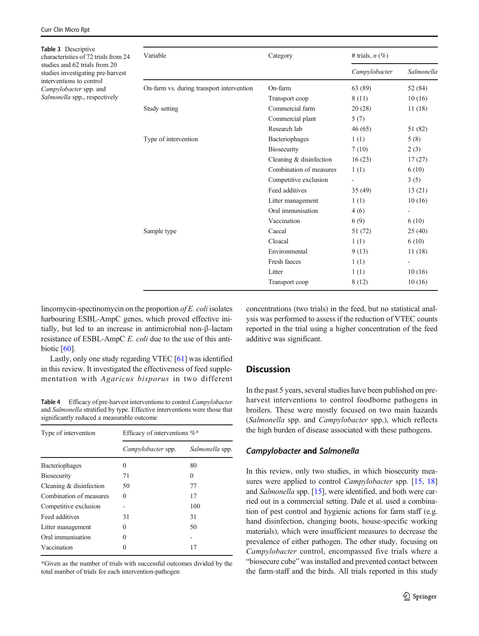<span id="page-5-0"></span>

| Table 3 Descriptive<br>characteristics of 72 trials from 24                         | Variable                                  | Category                | # trials, $n$ $(\%)$     |            |
|-------------------------------------------------------------------------------------|-------------------------------------------|-------------------------|--------------------------|------------|
| studies and 62 trials from 20<br>studies investigating pre-harvest                  |                                           |                         | Campylobacter            | Salmonella |
| interventions to control<br>Campylobacter spp. and<br>Salmonella spp., respectively | On-farm vs. during transport intervention | On-farm                 | 63 (89)                  | 52 (84)    |
|                                                                                     |                                           | Transport coop          | 8 (11)                   | 10(16)     |
|                                                                                     | Study setting                             | Commercial farm         | 20(28)                   | 11(18)     |
|                                                                                     |                                           | Commercial plant        | 5(7)                     |            |
|                                                                                     |                                           | Research lab            | 46(65)                   | 51 (82)    |
|                                                                                     | Type of intervention                      | Bacteriophages          | 1(1)                     | 5(8)       |
|                                                                                     |                                           | Biosecurity             | 7(10)                    | 2(3)       |
|                                                                                     |                                           | Cleaning & disinfection | 16(23)                   | 17(27)     |
|                                                                                     |                                           | Combination of measures | 1(1)                     | 6(10)      |
|                                                                                     |                                           | Competitive exclusion   | $\overline{\phantom{a}}$ | 3(5)       |
|                                                                                     |                                           | Feed additives          | 35(49)                   | 13(21)     |
|                                                                                     |                                           | Litter management       | 1(1)                     | 10(16)     |
|                                                                                     |                                           | Oral immunisation       | 4(6)                     |            |
|                                                                                     |                                           | Vaccination             | 6(9)                     | 6(10)      |
|                                                                                     | Sample type                               | Caecal                  | 51 (72)                  | 25(40)     |
|                                                                                     |                                           | Cloacal                 | 1(1)                     | 6(10)      |
|                                                                                     |                                           | Environmental           | 9(13)                    | 11(18)     |
|                                                                                     |                                           | Fresh faeces            | 1(1)                     |            |
|                                                                                     |                                           | Litter                  | 1(1)                     | 10(16)     |
|                                                                                     |                                           | Transport coop          | 8(12)                    | 10(16)     |
|                                                                                     |                                           |                         |                          |            |

lincomycin-spectinomycin on the proportion of E. coli isolates harbouring ESBL-AmpC genes, which proved effective initially, but led to an increase in antimicrobial non-β-lactam resistance of ESBL-AmpC E. coli due to the use of this antibiotic  $[60]$  $[60]$  $[60]$ .

Lastly, only one study regarding VTEC [[61\]](#page-10-0) was identified in this review. It investigated the effectiveness of feed supplementation with Agaricus bisporus in two different

Table 4 Efficacy of pre-harvest interventions to control Campylobacter and Salmonella stratified by type. Effective interventions were those that significantly reduced a measurable outcome

| Type of intervention    | Efficacy of interventions $\%^*$ |                 |  |
|-------------------------|----------------------------------|-----------------|--|
|                         | Campylobacter spp.               | Salmonella spp. |  |
| <b>Bacteriophages</b>   | 0                                | 80              |  |
| <b>Biosecurity</b>      | 71                               | 0               |  |
| Cleaning & disinfection | 50                               | 77              |  |
| Combination of measures | 0                                | 17              |  |
| Competitive exclusion   |                                  | 100             |  |
| Feed additives          | 31                               | 31              |  |
| Litter management       | 0                                | 50              |  |
| Oral immunisation       | 0                                |                 |  |
| Vaccination             | 0                                | 17              |  |

\*Given as the number of trials with successful outcomes divided by the total number of trials for each intervention-pathogen

concentrations (two trials) in the feed, but no statistical analysis was performed to assess if the reduction of VTEC counts reported in the trial using a higher concentration of the feed additive was significant.

## **Discussion**

In the past 5 years, several studies have been published on preharvest interventions to control foodborne pathogens in broilers. These were mostly focused on two main hazards (Salmonella spp. and Campylobacter spp.), which reflects the high burden of disease associated with these pathogens.

#### Campylobacter and Salmonella

In this review, only two studies, in which biosecurity mea-sures were applied to control Campylobacter spp. [\[15,](#page-8-0) [18](#page-8-0)] and Salmonella spp. [[15](#page-8-0)], were identified, and both were carried out in a commercial setting. Dale et al. used a combination of pest control and hygienic actions for farm staff (e.g. hand disinfection, changing boots, house-specific working materials), which were insufficient measures to decrease the prevalence of either pathogen. The other study, focusing on Campylobacter control, encompassed five trials where a "biosecure cube" was installed and prevented contact between the farm-staff and the birds. All trials reported in this study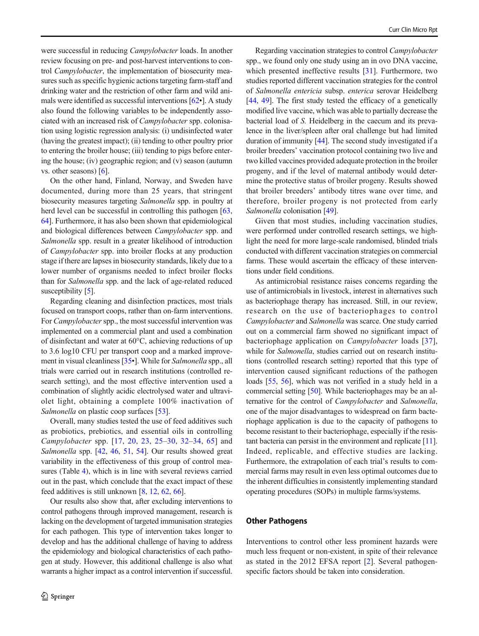were successful in reducing Campylobacter loads. In another review focusing on pre- and post-harvest interventions to control Campylobacter, the implementation of biosecurity measures such as specific hygienic actions targeting farm-staff and drinking water and the restriction of other farm and wild animals were identified as successful interventions [\[62](#page-10-0)•]. A study also found the following variables to be independently associated with an increased risk of Campylobacter spp. colonisation using logistic regression analysis: (i) undisinfected water (having the greatest impact); (ii) tending to other poultry prior to entering the broiler house; (iii) tending to pigs before entering the house; (iv) geographic region; and (v) season (autumn vs. other seasons) [[6\]](#page-8-0).

On the other hand, Finland, Norway, and Sweden have documented, during more than 25 years, that stringent biosecurity measures targeting Salmonella spp. in poultry at herd level can be successful in controlling this pathogen [[63,](#page-10-0) [64\]](#page-10-0). Furthermore, it has also been shown that epidemiological and biological differences between Campylobacter spp. and Salmonella spp. result in a greater likelihood of introduction of Campylobacter spp. into broiler flocks at any production stage if there are lapses in biosecurity standards, likely due to a lower number of organisms needed to infect broiler flocks than for Salmonella spp. and the lack of age-related reduced susceptibility [\[5\]](#page-8-0).

Regarding cleaning and disinfection practices, most trials focused on transport coops, rather than on-farm interventions. For *Campylobacter* spp., the most successful intervention was implemented on a commercial plant and used a combination of disinfectant and water at 60°C, achieving reductions of up to 3.6 log10 CFU per transport coop and a marked improvement in visual cleanliness [\[35](#page-9-0)•]. While for Salmonella spp., all trials were carried out in research institutions (controlled research setting), and the most effective intervention used a combination of slightly acidic electrolysed water and ultraviolet light, obtaining a complete 100% inactivation of Salmonella on plastic coop surfaces [\[53](#page-9-0)].

Overall, many studies tested the use of feed additives such as probiotics, prebiotics, and essential oils in controlling Campylobacter spp. [[17](#page-8-0), [20](#page-8-0), [23,](#page-8-0) [25](#page-8-0)–[30](#page-8-0), [32](#page-8-0)–[34](#page-9-0), [65](#page-10-0)] and Salmonella spp. [\[42](#page-9-0), [46](#page-9-0), [51](#page-9-0), [54](#page-9-0)]. Our results showed great variability in the effectiveness of this group of control measures (Table [4\)](#page-5-0), which is in line with several reviews carried out in the past, which conclude that the exact impact of these feed additives is still unknown [[8,](#page-8-0) [12,](#page-8-0) [62,](#page-10-0) [66](#page-10-0)].

Our results also show that, after excluding interventions to control pathogens through improved management, research is lacking on the development of targeted immunisation strategies for each pathogen. This type of intervention takes longer to develop and has the additional challenge of having to address the epidemiology and biological characteristics of each pathogen at study. However, this additional challenge is also what warrants a higher impact as a control intervention if successful.

Regarding vaccination strategies to control Campylobacter spp., we found only one study using an in ovo DNA vaccine, which presented ineffective results [\[31](#page-8-0)]. Furthermore, two studies reported different vaccination strategies for the control of Salmonella entericia subsp. enterica serovar Heidelberg [\[44](#page-9-0), [49\]](#page-9-0). The first study tested the efficacy of a genetically modified live vaccine, which was able to partially decrease the bacterial load of S. Heidelberg in the caecum and its prevalence in the liver/spleen after oral challenge but had limited duration of immunity [[44](#page-9-0)]. The second study investigated if a broiler breeders' vaccination protocol containing two live and two killed vaccines provided adequate protection in the broiler progeny, and if the level of maternal antibody would determine the protective status of broiler progeny. Results showed that broiler breeders' antibody titres wane over time, and therefore, broiler progeny is not protected from early Salmonella colonisation [\[49](#page-9-0)].

Given that most studies, including vaccination studies, were performed under controlled research settings, we highlight the need for more large-scale randomised, blinded trials conducted with different vaccination strategies on commercial farms. These would ascertain the efficacy of these interventions under field conditions.

As antimicrobial resistance raises concerns regarding the use of antimicrobials in livestock, interest in alternatives such as bacteriophage therapy has increased. Still, in our review, research on the use of bacteriophages to control Campylobacter and Salmonella was scarce. One study carried out on a commercial farm showed no significant impact of bacteriophage application on Campylobacter loads [[37](#page-9-0)], while for *Salmonella*, studies carried out on research institutions (controlled research setting) reported that this type of intervention caused significant reductions of the pathogen loads [\[55](#page-9-0), [56](#page-9-0)], which was not verified in a study held in a commercial setting [[50\]](#page-9-0). While bacteriophages may be an alternative for the control of Campylobacter and Salmonella, one of the major disadvantages to widespread on farm bacteriophage application is due to the capacity of pathogens to become resistant to their bacteriophage, especially if the resistant bacteria can persist in the environment and replicate [[11\]](#page-8-0). Indeed, replicable, and effective studies are lacking. Furthermore, the extrapolation of each trial's results to commercial farms may result in even less optimal outcomes due to the inherent difficulties in consistently implementing standard operating procedures (SOPs) in multiple farms/systems.

#### Other Pathogens

Interventions to control other less prominent hazards were much less frequent or non-existent, in spite of their relevance as stated in the 2012 EFSA report [[2](#page-8-0)]. Several pathogenspecific factors should be taken into consideration.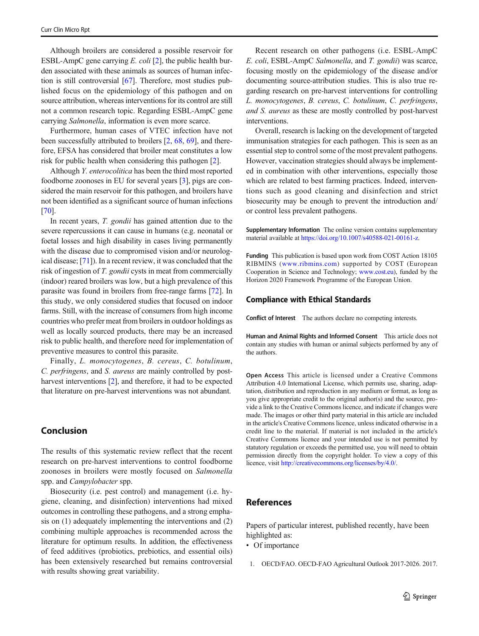<span id="page-7-0"></span>Although broilers are considered a possible reservoir for ESBL-AmpC gene carrying  $E.$  coli [\[2\]](#page-8-0), the public health burden associated with these animals as sources of human infection is still controversial [[67\]](#page-10-0). Therefore, most studies published focus on the epidemiology of this pathogen and on source attribution, whereas interventions for its control are still not a common research topic. Regarding ESBL-AmpC gene carrying Salmonella, information is even more scarce.

Furthermore, human cases of VTEC infection have not been successfully attributed to broilers [[2,](#page-8-0) [68,](#page-10-0) [69\]](#page-10-0), and therefore, EFSA has considered that broiler meat constitutes a low risk for public health when considering this pathogen [\[2](#page-8-0)].

Although Y. enterocolitica has been the third most reported foodborne zoonoses in EU for several years [\[3](#page-8-0)], pigs are considered the main reservoir for this pathogen, and broilers have not been identified as a significant source of human infections [\[70\]](#page-10-0).

In recent years, *T. gondii* has gained attention due to the severe repercussions it can cause in humans (e.g. neonatal or foetal losses and high disability in cases living permanently with the disease due to compromised vision and/or neurological disease; [\[71](#page-10-0)]). In a recent review, it was concluded that the risk of ingestion of T. gondii cysts in meat from commercially (indoor) reared broilers was low, but a high prevalence of this parasite was found in broilers from free-range farms [[72](#page-10-0)]. In this study, we only considered studies that focused on indoor farms. Still, with the increase of consumers from high income countries who prefer meat from broilers in outdoor holdings as well as locally sourced products, there may be an increased risk to public health, and therefore need for implementation of preventive measures to control this parasite.

Finally, L. monocytogenes, B. cereus, C. botulinum, C. perfringens, and S. aureus are mainly controlled by post-harvest interventions [[2\]](#page-8-0), and therefore, it had to be expected that literature on pre-harvest interventions was not abundant.

# Conclusion

The results of this systematic review reflect that the recent research on pre-harvest interventions to control foodborne zoonoses in broilers were mostly focused on Salmonella spp. and Campylobacter spp.

Biosecurity (i.e. pest control) and management (i.e. hygiene, cleaning, and disinfection) interventions had mixed outcomes in controlling these pathogens, and a strong emphasis on (1) adequately implementing the interventions and (2) combining multiple approaches is recommended across the literature for optimum results. In addition, the effectiveness of feed additives (probiotics, prebiotics, and essential oils) has been extensively researched but remains controversial with results showing great variability.

Recent research on other pathogens (i.e. ESBL-AmpC E. coli, ESBL-AmpC Salmonella, and T. gondii) was scarce, focusing mostly on the epidemiology of the disease and/or documenting source-attribution studies. This is also true regarding research on pre-harvest interventions for controlling L. monocytogenes, B. cereus, C. botulinum, C. perfringens, and S. aureus as these are mostly controlled by post-harvest interventions.

Overall, research is lacking on the development of targeted immunisation strategies for each pathogen. This is seen as an essential step to control some of the most prevalent pathogens. However, vaccination strategies should always be implemented in combination with other interventions, especially those which are related to best farming practices. Indeed, interventions such as good cleaning and disinfection and strict biosecurity may be enough to prevent the introduction and/ or control less prevalent pathogens.

Supplementary Information The online version contains supplementary material available at [https://doi.org/10.1007/s40588-021-00161-z.](https://doi.org/)

Funding This publication is based upon work from COST Action 18105 RIBMINS ([www.ribmins.com](http://www.ribmins.com)) supported by COST (European Cooperation in Science and Technology; [www.cost.eu](http://www.cost.eu)), funded by the Horizon 2020 Framework Programme of the European Union.

#### Compliance with Ethical Standards

Conflict of Interest The authors declare no competing interests.

Human and Animal Rights and Informed Consent This article does not contain any studies with human or animal subjects performed by any of the authors.

Open Access This article is licensed under a Creative Commons Attribution 4.0 International License, which permits use, sharing, adaptation, distribution and reproduction in any medium or format, as long as you give appropriate credit to the original author(s) and the source, provide a link to the Creative Commons licence, and indicate if changes were made. The images or other third party material in this article are included in the article's Creative Commons licence, unless indicated otherwise in a credit line to the material. If material is not included in the article's Creative Commons licence and your intended use is not permitted by statutory regulation or exceeds the permitted use, you will need to obtain permission directly from the copyright holder. To view a copy of this licence, visit [http://creativecommons.org/licenses/by/4.0/](https://doi.org/10.2903/j.efsa.2012.2741).

### References

Papers of particular interest, published recently, have been highlighted as:

- Of importance
- 1. OECD/FAO. OECD-FAO Agricultural Outlook 2017-2026. 2017.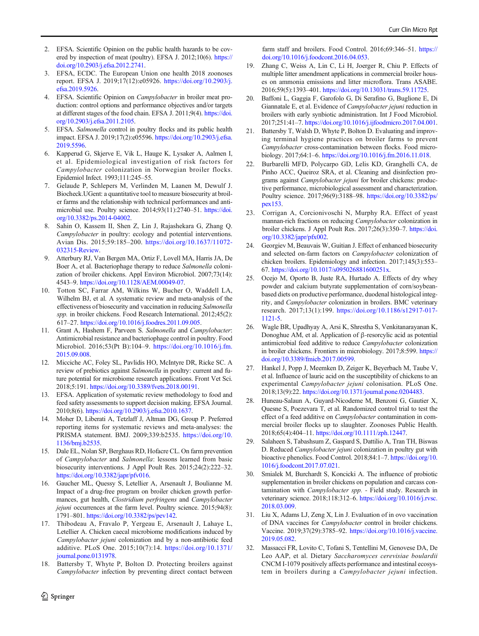- <span id="page-8-0"></span>2. EFSA. Scientific Opinion on the public health hazards to be covered by inspection of meat (poultry). EFSA J. 2012;10(6). [https://](https://doi.org/10.2903/j.efsa.2012.2741) [doi.org/10.2903/j.efsa.2012.2741](https://doi.org/10.2903/j.efsa.2012.2741).
- 3. EFSA, ECDC. The European Union one health 2018 zoonoses report. EFSA J. 2019;17(12):e05926. [https://doi.org/10.2903/j.](https://doi.org/10.2903/j.efsa.2019.5926) [efsa.2019.5926.](https://doi.org/10.2903/j.efsa.2019.5926)
- 4. EFSA. Scientific Opinion on Campylobacter in broiler meat production: control options and performance objectives and/or targets at different stages of the food chain. EFSA J. 2011;9(4). [https://doi.](https://doi.org/10.2903/j.efsa.2011.2105) [org/10.2903/j.efsa.2011.2105.](https://doi.org/10.2903/j.efsa.2011.2105)
- 5. EFSA. Salmonella control in poultry flocks and its public health impact. EFSA J. 2019;17(2):e05596. [https://doi.org/10.2903/j.efsa.](https://doi.org/10.2903/j.efsa.2019.5596) [2019.5596](https://doi.org/10.2903/j.efsa.2019.5596).
- 6. Kapperud G, Skjerve E, Vik L, Hauge K, Lysaker A, Aalmen I, et al. Epidemiological investigation of risk factors for Campylobacter colonization in Norwegian broiler flocks. Epidemiol Infect. 1993;111:245–55.
- 7. Gelaude P, Schlepers M, Verlinden M, Laanen M, Dewulf J. Biocheck.UGent: a quantitative tool to measure biosecurity at broiler farms and the relationship with technical performances and antimicrobial use. Poultry science. 2014;93(11):2740–51. [https://doi.](https://doi.org/10.3382/ps.2014-04002) [org/10.3382/ps.2014-04002.](https://doi.org/10.3382/ps.2014-04002)
- Sahin O, Kassem II, Shen Z, Lin J, Rajashekara G, Zhang Q. Campylobacter in poultry: ecology and potential interventions. Avian Dis. 2015;59:185–200. [https://doi.org/10.1637/11072-](https://doi.org/10.1637/11072-032315-Review) [032315-Review](https://doi.org/10.1637/11072-032315-Review).
- 9. Atterbury RJ, Van Bergen MA, Ortiz F, Lovell MA, Harris JA, De Boer A, et al. Bacteriophage therapy to reduce Salmonella colonization of broiler chickens. Appl Environ Microbiol. 2007;73(14): 4543–9. https://doi.org/10.1128/AEM.00049-07.
- 10. Totton SC, Farrar AM, Wilkins W, Bucher O, Waddell LA, Wilhelm BJ, et al. A systematic review and meta-analysis of the effectiveness of biosecurity and vaccination in reducing Salmonella spp. in broiler chickens. Food Research International. 2012;45(2): 617–27. [https://doi.org/10.1016/j.foodres.2011.09.005.](https://doi.org/10.1016/j.foodres.2011.09.005)
- 11. Grant A, Hashem F, Parveen S. Salmonella and Campylobacter: Antimicrobial resistance and bacteriophage control in poultry. Food Microbiol. 2016;53(Pt B):104–9. [https://doi.org/10.1016/j.fm.](https://doi.org/10.1016/j.fm.2015.09.008) [2015.09.008](https://doi.org/10.1016/j.fm.2015.09.008).
- 12. Micciche AC, Foley SL, Pavlidis HO, McIntyre DR, Ricke SC. A review of prebiotics against Salmonella in poultry: current and future potential for microbiome research applications. Front Vet Sci. 2018;5:191. [https://doi.org/10.3389/fvets.2018.00191.](https://doi.org/10.3389/fvets.2018.00191)
- 13. EFSA. Application of systematic review methodology to food and feed safety assessments to support decision making. EFSA Journal. 2010;8(6). [https://doi.org/10.2903/j.efsa.2010.1637.](https://doi.org/10.2903/j.efsa.2010.1637)
- 14. Moher D, Liberati A, Tetzlaff J, Altman DG, Group P. Preferred reporting items for systematic reviews and meta-analyses: the PRISMA statement. BMJ. 2009;339:b2535. [https://doi.org/10.](https://doi.org/10.1136/bmj.b2535) [1136/bmj.b2535](https://doi.org/10.1136/bmj.b2535).
- 15. Dale EL, Nolan SP, Berghaus RD, Hofacre CL. On farm prevention of Campylobacter and Salmonella: lessons learned from basic biosecurity interventions. J Appl Poult Res. 2015;24(2):222–32. <https://doi.org/10.3382/japr/pfv016>.
- 16. Gaucher ML, Quessy S, Letellier A, Arsenault J, Boulianne M. Impact of a drug-free program on broiler chicken growth performances, gut health, Clostridium perfringens and Campylobacter jejuni occurrences at the farm level. Poultry science. 2015;94(8): 1791–801. <https://doi.org/10.3382/ps/pev142>.
- 17. Thibodeau A, Fravalo P, Yergeau E, Arsenault J, Lahaye L, Letellier A. Chicken caecal microbiome modifications induced by Campylobacter jejuni colonization and by a non-antibiotic feed additive. PLoS One. 2015;10(7):14. [https://doi.org/10.1371/](https://doi.org/10.1371/journal.pone.0131978) [journal.pone.0131978.](https://doi.org/10.1371/journal.pone.0131978)
- 18. Battersby T, Whyte P, Bolton D. Protecting broilers against Campylobacter infection by preventing direct contact between

farm staff and broilers. Food Control. 2016;69:346-51. [https://](https://doi.org/10.1016/j.foodcont.2016.04.053) [doi.org/10.1016/j.foodcont.2016.04.053](https://doi.org/10.1016/j.foodcont.2016.04.053).

- 19. Zhang C, Weiss A, Lin C, Li H, Joerger R, Chiu P. Effects of multiple litter amendment applications in commercial broiler houses on ammonia emissions and litter microflora. Trans ASABE. 2016;59(5):1393–401. <https://doi.org/10.13031/trans.59.11725>.
- 20. Baffoni L, Gaggia F, Garofolo G, Di Serafino G, Buglione E, Di Giannatale E, et al. Evidence of Campylobacter jejuni reduction in broilers with early synbiotic administration. Int J Food Microbiol. 2017;251:41–7. <https://doi.org/10.1016/j.ijfoodmicro.2017.04.001>.
- 21. Battersby T, Walsh D, Whyte P, Bolton D. Evaluating and improving terminal hygiene practices on broiler farms to prevent Campylobacter cross-contamination between flocks. Food microbiology. 2017;64:1–6. <https://doi.org/10.1016/j.fm.2016.11.018>.
- 22. Burbarelli MFD, Polycarpo GD, Lelis KD, Granghelli CA, de Pinho ACC, Queiroz SRA, et al. Cleaning and disinfection programs against Campylobacter jejuni for broiler chickens: productive performance, microbiological assessment and characterization. Poultry science. 2017;96(9):3188–98. [https://doi.org/10.3382/ps/](https://doi.org/10.3382/ps/pex153) [pex153.](https://doi.org/10.3382/ps/pex153)
- 23. Corrigan A, Corcionivoschi N, Murphy RA. Effect of yeast mannan-rich fractions on reducing Campylobacter colonization in broiler chickens. J Appl Poult Res. 2017;26(3):350–7. [https://doi.](https://doi.org/10.3382/japr/pfx002) [org/10.3382/japr/pfx002](https://doi.org/10.3382/japr/pfx002).
- 24. Georgiev M, Beauvais W, Guitian J. Effect of enhanced biosecurity and selected on-farm factors on Campylobacter colonization of chicken broilers. Epidemiology and infection. 2017;145(3):553– 67. <https://doi.org/10.1017/s095026881600251x>.
- 25. Ocejo M, Oporto B, Juste RA, Hurtado A. Effects of dry whey powder and calcium butyrate supplementation of corn/soybeanbased diets on productive performance, duodenal histological integrity, and Campylobacter colonization in broilers. BMC veterinary research. 2017;13(1):199. [https://doi.org/10.1186/s12917-017-](https://doi.org/10.1186/s12917-017-1121-5) [1121-5.](https://doi.org/10.1186/s12917-017-1121-5)
- 26. Wagle BR, Upadhyay A, Arsi K, Shrestha S, Venkitanarayanan K, Donoghue AM, et al. Application of β-resorcylic acid as potential antimicrobial feed additive to reduce Campylobacter colonization in broiler chickens. Frontiers in microbiology. 2017;8:599. [https://](https://doi.org/10.3389/fmicb.2017.00599) [doi.org/10.3389/fmicb.2017.00599](https://doi.org/10.3389/fmicb.2017.00599).
- 27. Hankel J, Popp J, Meemken D, Zeiger K, Beyerbach M, Taube V, et al. Influence of lauric acid on the susceptibility of chickens to an experimental Campylobacter jejuni colonisation. PLoS One. 2018;13(9):22. <https://doi.org/10.1371/journal.pone.0204483>.
- 28. Huneau-Salaun A, Guyard-Nicodeme M, Benzoni G, Gautier X, Quesne S, Poezevara T, et al. Randomized control trial to test the effect of a feed additive on *Campylobacter* contamination in commercial broiler flocks up to slaughter. Zoonoses Public Health. 2018;65(4):404–11. [https://doi.org/10.1111/zph.12447.](https://doi.org/10.1111/zph.12447)
- 29. Salaheen S, Tabashsum Z, Gaspard S, Dattilio A, Tran TH, Biswas D. Reduced Campylobacter jejuni colonization in poultry gut with bioactive phenolics. Food Control. 2018;84:1–7. [https://doi.org/10.](https://doi.org/10.1016/j.foodcont.2017.07.021) [1016/j.foodcont.2017.07.021.](https://doi.org/10.1016/j.foodcont.2017.07.021)
- 30. Smialek M, Burchardt S, Koncicki A. The influence of probiotic supplementation in broiler chickens on population and carcass contamination with Campylobacter spp. - Field study. Research in veterinary science. 2018;118:312–6. [https://doi.org/10.1016/j.rvsc.](https://doi.org/10.1016/j.rvsc.2018.03.009) [2018.03.009](https://doi.org/10.1016/j.rvsc.2018.03.009).
- 31. Liu X, Adams LJ, Zeng X, Lin J. Evaluation of in ovo vaccination of DNA vaccines for Campylobacter control in broiler chickens. Vaccine. 2019;37(29):3785–92. [https://doi.org/10.1016/j.vaccine.](https://doi.org/10.1016/j.vaccine.2019.05.082) [2019.05.082](https://doi.org/10.1016/j.vaccine.2019.05.082).
- 32. Massacci FR, Lovito C, Tofani S, Tentellini M, Genovese DA, De Leo AAP, et al. Dietary Saccharomyces cerevisiae boulardii CNCM I-1079 positively affects performance and intestinal ecosystem in broilers during a Campylobacter jejuni infection.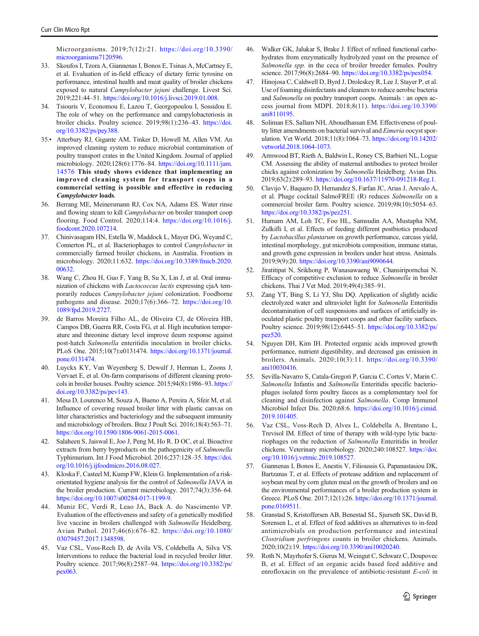<span id="page-9-0"></span>Microorganisms. 2019;7(12):21. [https://doi.org/10.3390/](https://doi.org/10.3390/microorganisms7120596) [microorganisms7120596.](https://doi.org/10.3390/microorganisms7120596)

- 33. Skoufos I, Tzora A, Giannenas I, Bonos E, Tsinas A, McCartney E, et al. Evaluation of in-field efficacy of dietary ferric tyrosine on performance, intestinal health and meat quality of broiler chickens exposed to natural Campylobacter jejuni challenge. Livest Sci. 2019;221:44–51. <https://doi.org/10.1016/j.livsci.2019.01.008>.
- 34. Tsiouris V, Economou E, Lazou T, Georgopoulou I, Sossidou E. The role of whey on the performance and campylobacteriosis in broiler chicks. Poultry science. 2019;98(1):236–43. [https://doi.](https://doi.org/10.3382/ps/pey388) [org/10.3382/ps/pey388.](https://doi.org/10.3382/ps/pey388)
- 35.• Atterbury RJ, Gigante AM, Tinker D, Howell M, Allen VM. An improved cleaning system to reduce microbial contamination of poultry transport crates in the United Kingdom. Journal of applied microbiology. 2020;128(6):1776–84. [https://doi.org/10.1111/jam.](https://doi.org/10.1111/jam.14576) [14576](https://doi.org/10.1111/jam.14576) This study shows evidence that implementing an improved cleaning system for transport coops in a commercial setting is possible and effective in reducing Campylobacter loads.
- 36. Berrang ME, Meinersmann RJ, Cox NA, Adams ES. Water rinse and flowing steam to kill Campylobacter on broiler transport coop flooring. Food Control. 2020;114:4. [https://doi.org/10.1016/j.](https://doi.org/10.1016/j.foodcont.2020.107214) [foodcont.2020.107214.](https://doi.org/10.1016/j.foodcont.2020.107214)
- 37. Chinivasagam HN, Estella W, Maddock L, Mayer DG, Weyand C, Connerton PL, et al. Bacteriophages to control Campylobacter in commercially farmed broiler chickens, in Australia. Frontiers in microbiology. 2020;11:632. [https://doi.org/10.3389/fmicb.2020.](https://doi.org/10.3389/fmicb.2020.00632) [00632.](https://doi.org/10.3389/fmicb.2020.00632)
- 38. Wang C, Zhou H, Guo F, Yang B, Su X, Lin J, et al. Oral immunization of chickens with Lactococcus lactis expressing cjaA temporarily reduces Campylobacter jejuni colonization. Foodborne pathogens and disease. 2020;17(6):366–72. [https://doi.org/10.](https://doi.org/10.1089/fpd.2019.2727) [1089/fpd.2019.2727.](https://doi.org/10.1089/fpd.2019.2727)
- 39. de Barros Moreira Filho AL, de Oliveira CJ, de Oliveira HB, Campos DB, Guerra RR, Costa FG, et al. High incubation temperature and threonine dietary level improve ileum response against post-hatch Salmonella enteritidis inoculation in broiler chicks. PLoS One. 2015;10(7):e0131474. [https://doi.org/10.1371/journal.](https://doi.org/10.1371/journal.pone.0131474) [pone.0131474](https://doi.org/10.1371/journal.pone.0131474).
- 40. Luyckx KY, Van Weyenberg S, Dewulf J, Herman L, Zoons J, Vervaet E, et al. On-farm comparisons of different cleaning protocols in broiler houses. Poultry science. 2015;94(8):1986–93. [https://](https://doi.org/10.3382/ps/pev143) [doi.org/10.3382/ps/pev143.](https://doi.org/10.3382/ps/pev143)
- 41. Mesa D, Lourenco M, Souza A, Bueno A, Pereira A, Sfeir M, et al. Influence of covering reused broiler litter with plastic canvas on litter characteristics and bacteriology and the subsequent immunity and microbiology of broilers. Braz J Poult Sci. 2016;18(4):563–71. <https://doi.org/10.1590/1806-9061-2015-0061>.
- 42. Salaheen S, Jaiswal E, Joo J, Peng M, Ho R. D OC, et al. Bioactive extracts from berry byproducts on the pathogenicity of Salmonella Typhimurium. Int J Food Microbiol. 2016;237:128–35. [https://doi.](https://doi.org/10.1016/j.ijfoodmicro.2016.08.027) [org/10.1016/j.ijfoodmicro.2016.08.027](https://doi.org/10.1016/j.ijfoodmicro.2016.08.027).
- 43. Kloska F, Casteel M, Kump FW, Klein G. Implementation of a riskorientated hygiene analysis for the control of Salmonella JAVA in the broiler production. Current microbiology. 2017;74(3):356–64. [https://doi.org/10.1007/s00284-017-1199-9.](https://doi.org/10.1007/s00284-017-1199-9)
- 44. Muniz EC, Verdi R, Leao JA, Back A. do Nascimento VP. Evaluation of the effectiveness and safety of a genetically modified live vaccine in broilers challenged with Salmonella Heidelberg. Avian Pathol. 2017;46(6):676–82. [https://doi.org/10.1080/](https://doi.org/10.1080/03079457.2017.1348598) [03079457.2017.1348598.](https://doi.org/10.1080/03079457.2017.1348598)
- 45. Vaz CSL, Voss-Rech D, de Avila VS, Coldebella A, Silva VS. Interventions to reduce the bacterial load in recycled broiler litter. Poultry science. 2017;96(8):2587–94. [https://doi.org/10.3382/ps/](https://doi.org/10.3382/ps/pex063) [pex063](https://doi.org/10.3382/ps/pex063).
- 46. Walker GK, Jalukar S, Brake J. Effect of refined functional carbohydrates from enzymatically hydrolyzed yeast on the presence of Salmonella spp. in the ceca of broiler breeder females. Poultry science. 2017;96(8):2684–90. <https://doi.org/10.3382/ps/pex054>.
- Hinojosa C, Caldwell D, Byrd J, Droleskey R, Lee J, Stayer P, et al. Use of foaming disinfectants and cleaners to reduce aerobic bacteria and Salmonella on poultry transport coops. Animals : an open access journal from MDPI. 2018;8(11). [https://doi.org/10.3390/](https://doi.org/10.3390/ani8110195) [ani8110195](https://doi.org/10.3390/ani8110195).
- 48. Soliman ES, Sallam NH, Abouelhassan EM. Effectiveness of poultry litter amendments on bacterial survival and Eimeria oocyst sporulation. Vet World. 2018;11(8):1064–73. [https://doi.org/10.14202/](https://doi.org/10.14202/vetworld.2018.1064-1073) [vetworld.2018.1064-1073.](https://doi.org/10.14202/vetworld.2018.1064-1073)
- 49. Armwood BT, Rieth A, Baldwin L, Roney CS, Barbieri NL, Logue CM. Assessing the ability of maternal antibodies to protect broiler chicks against colonization by Salmonella Heidelberg. Avian Dis. 2019;63(2):289–93. <https://doi.org/10.1637/11970-091218-Reg.1>.
- 50. Clavijo V, Baquero D, Hernandez S, Farfan JC, Arias J, Arevalo A, et al. Phage cocktail SalmoFREE (R) reduces Salmonella on a commercial broiler farm. Poultry science. 2019;98(10):5054–63. <https://doi.org/10.3382/ps/pez251>.
- 51. Humam AM, Loh TC, Foo HL, Samsudin AA, Mustapha NM, Zulkifli I, et al. Effects of feeding different postbiotics produced by Lactobacillus plantarum on growth performance, carcass yield, intestinal morphology, gut microbiota composition, immune status, and growth gene expression in broilers under heat stress. Animals. 2019;9(9):20. <https://doi.org/10.3390/ani9090644>.
- 52. Jiratitipat N, Srikhong P, Wanasawaeng W, Chansiripornchai N. Efficacy of competitive exclusion to reduce Salmonella in broiler chickens. Thai J Vet Med. 2019;49(4):385–91.
- 53. Zang YT, Bing S, Li YJ, Shu DQ. Application of slightly acidic electrolyzed water and ultraviolet light for Salmonella Enteritidis decontamination of cell suspensions and surfaces of artificially inoculated plastic poultry transport coops and other facility surfaces. Poultry science. 2019;98(12):6445–51. [https://doi.org/10.3382/ps/](https://doi.org/10.3382/ps/pez520) [pez520.](https://doi.org/10.3382/ps/pez520)
- 54. Nguyen DH, Kim IH. Protected organic acids improved growth performance, nutrient digestibility, and decreased gas emission in broilers. Animals. 2020;10(3):11. [https://doi.org/10.3390/](https://doi.org/10.3390/ani10030416) [ani10030416](https://doi.org/10.3390/ani10030416).
- 55. Sevilla-Navarro S, Catala-Gregori P, Garcia C, Cortes V, Marin C. Salmonella Infantis and Salmonella Enteritidis specific bacteriophages isolated form poultry faeces as a complementary tool for cleaning and disinfection against Salmonella. Comp Immunol Microbiol Infect Dis. 2020;68:6. [https://doi.org/10.1016/j.cimid.](https://doi.org/10.1016/j.cimid.2019.101405) [2019.101405.](https://doi.org/10.1016/j.cimid.2019.101405)
- 56. Vaz CSL, Voss-Rech D, Alves L, Coldebella A, Brentano L, Trevisol IM. Effect of time of therapy with wild-type lytic bacteriophages on the reduction of Salmonella Enteritidis in broiler chickens. Veterinary microbiology. 2020;240:108527. [https://doi.](https://doi.org/10.1016/j.vetmic.2019.108527) [org/10.1016/j.vetmic.2019.108527.](https://doi.org/10.1016/j.vetmic.2019.108527)
- 57. Giannenas I, Bonos E, Anestis V, Filioussis G, Papanastasiou DK, Bartzanas T, et al. Effects of protease addition and replacement of soybean meal by corn gluten meal on the growth of broilers and on the environmental performances of a broiler production system in Greece. PLoS One. 2017;12(1):26. [https://doi.org/10.1371/journal.](https://doi.org/10.1371/journal.pone.0169511) [pone.0169511](https://doi.org/10.1371/journal.pone.0169511).
- 58. Granstad S, Kristoffersen AB, Benestad SL, Sjurseth SK, David B, Sorensen L, et al. Effect of feed additives as alternatives to in-feed antimicrobials on production performance and intestinal Clostridium perfringens counts in broiler chickens. Animals. 2020;10(2):19. <https://doi.org/10.3390/ani10020240>.
- 59. Roth N, Mayrhofer S, Gierus M, Weingut C, Schwarz C, Doupovec B, et al. Effect of an organic acids based feed additive and enrofloxacin on the prevalence of antibiotic-resistant E-coli in